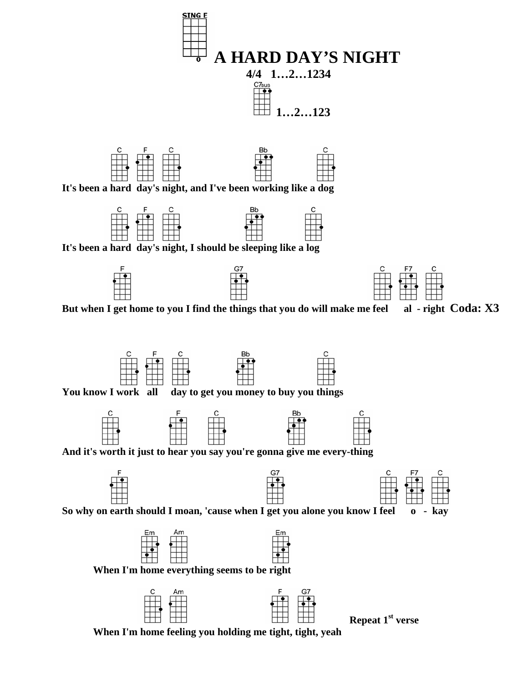

**When I'm home feeling you holding me tight, tight, yeah**